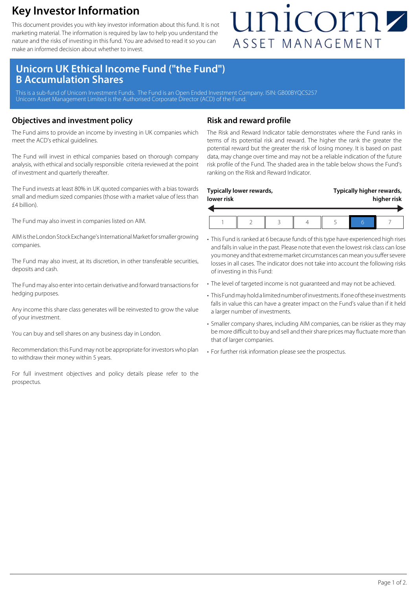## **Key Investor Information**

This document provides you with key investor information about this fund. It is not marketing material. The information is required by law to help you understand the nature and the risks of investing in this fund. You are advised to read it so you can make an informed decision about whether to invest.

# unicornz ASSET MANAGEMENT

### **Unicorn UK Ethical Income Fund ("the Fund") B Accumulation Shares**

This is a sub-fund of Unicorn Investment Funds. The Fund is an Open Ended Investment Company. ISIN: GB00BYQCS257 Unicorn Asset Management Limited is the Authorised Corporate Director (ACD) of the Fund.

#### **Objectives and investment policy**

The Fund aims to provide an income by investing in UK companies which meet the ACD's ethical guidelines.

The Fund will invest in ethical companies based on thorough company analysis, with ethical and socially responsible criteria reviewed at the point of investment and quarterly thereafter.

The Fund invests at least 80% in UK quoted companies with a bias towards small and medium sized companies (those with a market value of less than £4 billion).

The Fund may also invest in companies listed on AIM.

AIM is the London Stock Exchange's International Market for smaller growing companies.

The Fund may also invest, at its discretion, in other transferable securities, deposits and cash.

The Fund may also enter into certain derivative and forward transactions for hedging purposes.

Any income this share class generates will be reinvested to grow the value of your investment.

You can buy and sell shares on any business day in London.

Recommendation: this Fund may not be appropriate for investors who plan to withdraw their money within 5 years.

For full investment objectives and policy details please refer to the prospectus.

#### **Risk and reward profile**

The Risk and Reward Indicator table demonstrates where the Fund ranks in terms of its potential risk and reward. The higher the rank the greater the potential reward but the greater the risk of losing money. It is based on past data, may change over time and may not be a reliable indication of the future risk profile of the Fund. The shaded area in the table below shows the Fund's ranking on the Risk and Reward Indicator.

| lower risk | Typically lower rewards, |  | Typically higher rewards,<br>higher risk |  |  |
|------------|--------------------------|--|------------------------------------------|--|--|
|            |                          |  |                                          |  |  |

- This Fund is ranked at 6 because funds of this type have experienced high rises and falls in value in the past. Please note that even the lowest risk class can lose you money and that extreme market circumstances can mean you suffer severe losses in all cases. The indicator does not take into account the following risks of investing in this Fund:
- The level of targeted income is not guaranteed and may not be achieved.
- This Fund may hold a limited number of investments. If one of these investments falls in value this can have a greater impact on the Fund's value than if it held a larger number of investments.
- Smaller company shares, including AIM companies, can be riskier as they may be more difficult to buy and sell and their share prices may fluctuate more than that of larger companies.
- For further risk information please see the prospectus.